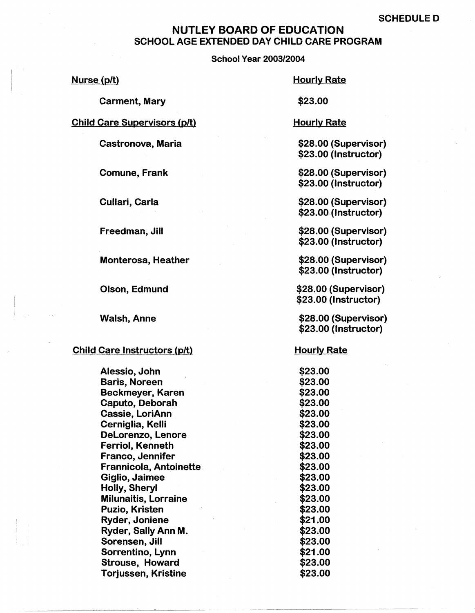## NUTLEY **BOARD** OF EDUCATION SCHOOL AGE EXTENDED DAY CHILD CARE PROGRAM

School Year 2003/2004

Nurse (p/t)

Carment, Mary

Hourly Rate

\$23.00

Child Care Supervisors (p/t)

Castronova, Maria

Comune, Frank

Cullari, Carla

Freedman, Jill

Monterosa, Heather

Olson, Edmund

Walsh, Anne

## Child Care Instructors (p/t)

Alessio, John Baris, Noreen Beckmeyer, Karen Caputo, Deborah Cassie, LoriAnn Cerniglia, Kelli Delorenzo, Lenore Ferriol, Kenneth Franco, Jennifer Frannicola, Antoinette Giglio, Jaimee Holly, Sheryl Milunaitis, Lorraine Puzio, Kristen Ryder, Joniene Ryder, Sally Ann M. Sorensen, Jill Sorrentino, Lynn Strouse, Howard Torjussen, Kristine

Hourly Rate

\$28.00 (Supervisor) \$23.00 (Instructor)

\$28.00 (Supervisor) \$23.00 (Instructor)

\$28.00 (Supervisor) \$23.00 (Instructor)

\$28.00 (Supervisor) \$23.00 (Instructor)

\$28.00 (Supervisor) \$23.00 {Instructor)

\$28.00 (Supervisor) \$23.00 (Instructor)

\$28.00 (Supervisor) \$23.00 (Instructor)

**Hourly Rate** 

\$23.00 \$23.00 \$23.00 \$23.00 \$23.00 \$23.00 \$23.00 \$23.00 \$23.00 \$23.00 \$23.00 \$23.00 \$23.00 \$23.00 \$21.00 \$23.00 \$23.00 \$21.00 \$23.00 \$23.00